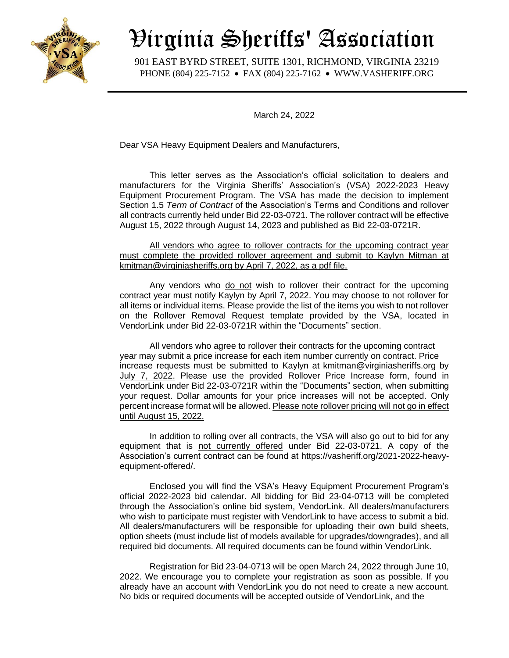

## Virginia Sheriffs' Association

 901 EAST BYRD STREET, SUITE 1301, RICHMOND, VIRGINIA 23219 PHONE (804) 225-7152 • FAX (804) 225-7162 • WWW.VASHERIFF.ORG

March 24, 2022

Dear VSA Heavy Equipment Dealers and Manufacturers,

This letter serves as the Association's official solicitation to dealers and manufacturers for the Virginia Sheriffs' Association's (VSA) 2022-2023 Heavy Equipment Procurement Program. The VSA has made the decision to implement Section 1.5 *Term of Contract* of the Association's Terms and Conditions and rollover all contracts currently held under Bid 22-03-0721. The rollover contract will be effective August 15, 2022 through August 14, 2023 and published as Bid 22-03-0721R.

All vendors who agree to rollover contracts for the upcoming contract year must complete the provided rollover agreement and submit to Kaylyn Mitman at kmitman@virginiasheriffs.org by April 7, 2022, as a pdf file.

Any vendors who do not wish to rollover their contract for the upcoming contract year must notify Kaylyn by April 7, 2022. You may choose to not rollover for all items or individual items. Please provide the list of the items you wish to not rollover on the Rollover Removal Request template provided by the VSA, located in VendorLink under Bid 22-03-0721R within the "Documents" section.

All vendors who agree to rollover their contracts for the upcoming contract year may submit a price increase for each item number currently on contract. Price increase requests must be submitted to Kaylyn at kmitman@virginiasheriffs.org by July 7, 2022. Please use the provided Rollover Price Increase form, found in VendorLink under Bid 22-03-0721R within the "Documents" section, when submitting your request. Dollar amounts for your price increases will not be accepted. Only percent increase format will be allowed. Please note rollover pricing will not go in effect until August 15, 2022.

In addition to rolling over all contracts, the VSA will also go out to bid for any equipment that is not currently offered under Bid 22-03-0721. A copy of the Association's current contract can be found at https://vasheriff.org/2021-2022-heavyequipment-offered/.

Enclosed you will find the VSA's Heavy Equipment Procurement Program's official 2022-2023 bid calendar. All bidding for Bid 23-04-0713 will be completed through the Association's online bid system, VendorLink. All dealers/manufacturers who wish to participate must register with VendorLink to have access to submit a bid. All dealers/manufacturers will be responsible for uploading their own build sheets, option sheets (must include list of models available for upgrades/downgrades), and all required bid documents. All required documents can be found within VendorLink.

Registration for Bid 23-04-0713 will be open March 24, 2022 through June 10, 2022. We encourage you to complete your registration as soon as possible. If you already have an account with VendorLink you do not need to create a new account. No bids or required documents will be accepted outside of VendorLink, and the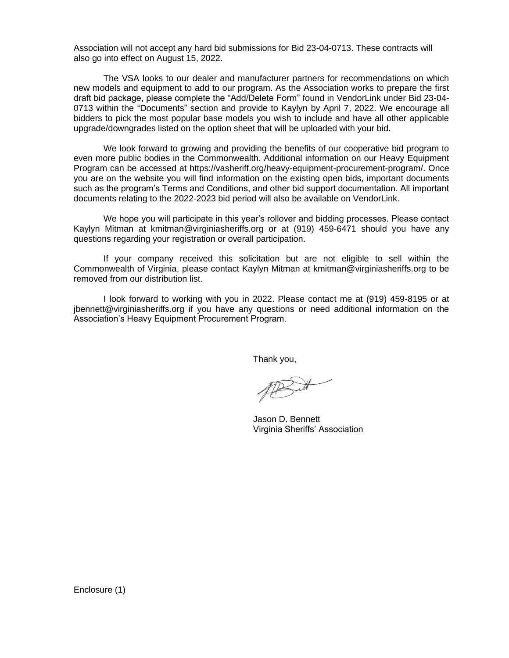Association will not accept any hard bid submissions for Bid 23-04-0713. These contracts will also go into effect on August 15, 2022.

The VSA looks to our dealer and manufacturer partners for recommendations on which new models and equipment to add to our program. As the Association works to prepare the first draft bid package, please complete the "Add/Delete Form" found in VendorLink under Bid 23-04- 0713 within the "Documents" section and provide to Kaylyn by April 7, 2022. We encourage all bidders to pick the most popular base models you wish to include and have all other applicable upgrade/downgrades listed on the option sheet that will be uploaded with your bid.

We look forward to growing and providing the benefits of our cooperative bid program to even more public bodies in the Commonwealth. Additional information on our Heavy Equipment Program can be accessed at https://vasheriff.org/heavy-equipment-procurement-program/. Once you are on the website you will find information on the existing open bids, important documents such as the program's Terms and Conditions, and other bid support documentation. All important documents relating to the 2022-2023 bid period will also be available on VendorLink.

We hope you will participate in this year's rollover and bidding processes. Please contact Kaylyn Mitman at kmitman@virginiasheriffs.org or at (919) 459-6471 should you have any questions regarding your registration or overall participation.

If your company received this solicitation but are not eligible to sell within the Commonwealth of Virginia, please contact Kaylyn Mitman at kmitman@virginiasheriffs.org to be removed from our distribution list.

I look forward to working with you in 2022. Please contact me at (919) 459-8195 or at jbennett@virginiasheriffs.org if you have any questions or need additional information on the Association's Heavy Equipment Procurement Program.

Thank you,

Jason D. Bennett Virginia Sheriffs' Association

Enclosure (1)